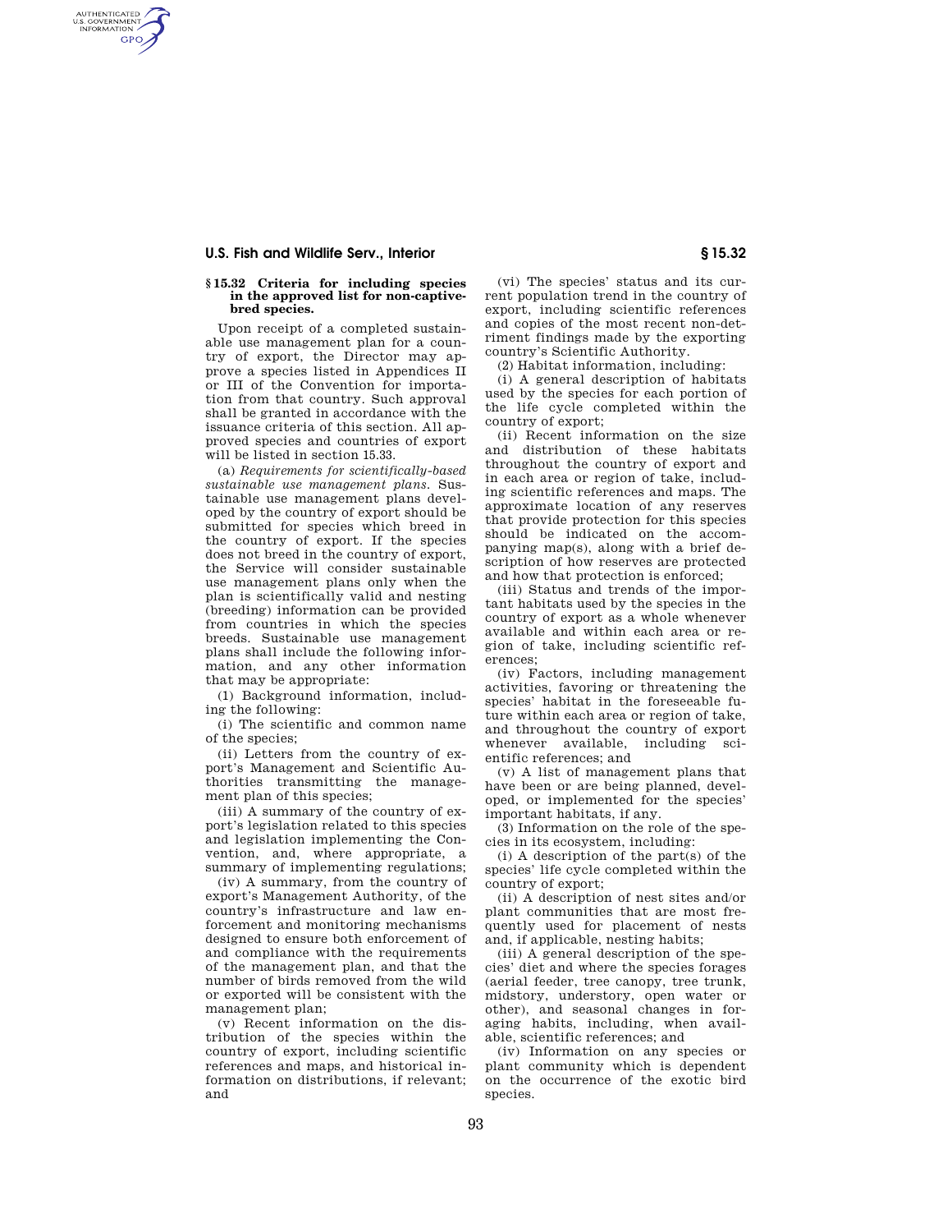## **U.S. Fish and Wildlife Serv., Interior § 15.32**

AUTHENTICATED<br>U.S. GOVERNMENT<br>INFORMATION **GPO** 

## **§ 15.32 Criteria for including species in the approved list for non-captivebred species.**

Upon receipt of a completed sustainable use management plan for a country of export, the Director may approve a species listed in Appendices II or III of the Convention for importation from that country. Such approval shall be granted in accordance with the issuance criteria of this section. All approved species and countries of export will be listed in section 15.33.

(a) *Requirements for scientifically-based sustainable use management plans.* Sustainable use management plans developed by the country of export should be submitted for species which breed in the country of export. If the species does not breed in the country of export, the Service will consider sustainable use management plans only when the plan is scientifically valid and nesting (breeding) information can be provided from countries in which the species breeds. Sustainable use management plans shall include the following information, and any other information that may be appropriate:

(1) Background information, including the following:

(i) The scientific and common name of the species;

(ii) Letters from the country of export's Management and Scientific Authorities transmitting the management plan of this species;

(iii) A summary of the country of export's legislation related to this species and legislation implementing the Convention, and, where appropriate, a summary of implementing regulations;

(iv) A summary, from the country of export's Management Authority, of the country's infrastructure and law enforcement and monitoring mechanisms designed to ensure both enforcement of and compliance with the requirements of the management plan, and that the number of birds removed from the wild or exported will be consistent with the management plan;

(v) Recent information on the distribution of the species within the country of export, including scientific references and maps, and historical information on distributions, if relevant; and

(vi) The species' status and its current population trend in the country of export, including scientific references and copies of the most recent non-detriment findings made by the exporting country's Scientific Authority.

(2) Habitat information, including:

(i) A general description of habitats used by the species for each portion of the life cycle completed within the country of export;

(ii) Recent information on the size and distribution of these habitats throughout the country of export and in each area or region of take, including scientific references and maps. The approximate location of any reserves that provide protection for this species should be indicated on the accompanying map(s), along with a brief description of how reserves are protected and how that protection is enforced;

(iii) Status and trends of the important habitats used by the species in the country of export as a whole whenever available and within each area or region of take, including scientific references;

(iv) Factors, including management activities, favoring or threatening the species' habitat in the foreseeable future within each area or region of take, and throughout the country of export whenever available, including scientific references; and

(v) A list of management plans that have been or are being planned, developed, or implemented for the species' important habitats, if any.

(3) Information on the role of the species in its ecosystem, including:

(i) A description of the part(s) of the species' life cycle completed within the country of export;

(ii) A description of nest sites and/or plant communities that are most frequently used for placement of nests and, if applicable, nesting habits;

(iii) A general description of the species' diet and where the species forages (aerial feeder, tree canopy, tree trunk, midstory, understory, open water or other), and seasonal changes in foraging habits, including, when available, scientific references; and

(iv) Information on any species or plant community which is dependent on the occurrence of the exotic bird species.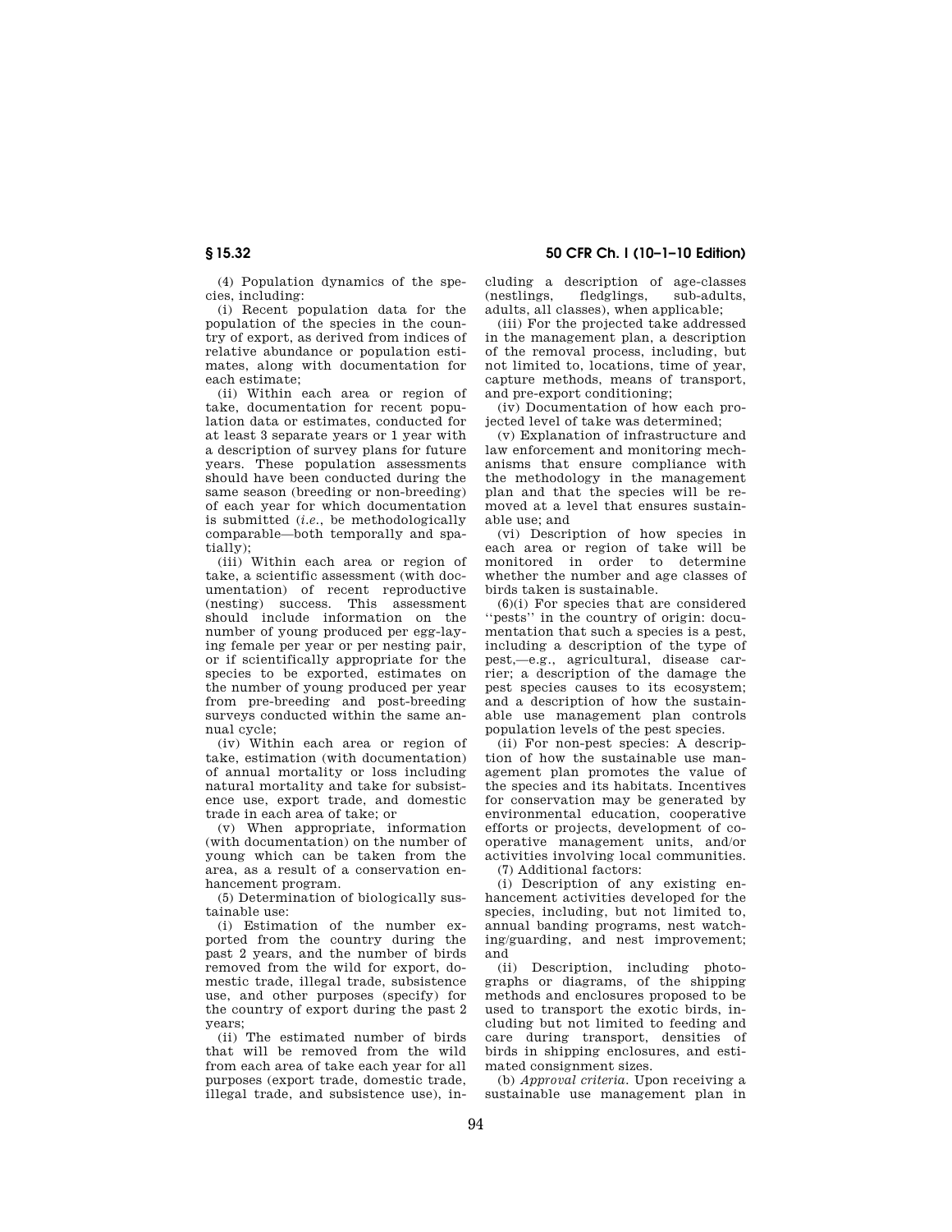(4) Population dynamics of the species, including:

(i) Recent population data for the population of the species in the country of export, as derived from indices of relative abundance or population estimates, along with documentation for each estimate;

(ii) Within each area or region of take, documentation for recent population data or estimates, conducted for at least 3 separate years or 1 year with a description of survey plans for future years. These population assessments should have been conducted during the same season (breeding or non-breeding) of each year for which documentation is submitted (*i.e.*, be methodologically comparable—both temporally and spatially);

(iii) Within each area or region of take, a scientific assessment (with documentation) of recent reproductive (nesting) success. This assessment should include information on the number of young produced per egg-laying female per year or per nesting pair, or if scientifically appropriate for the species to be exported, estimates on the number of young produced per year from pre-breeding and post-breeding surveys conducted within the same annual cycle;

(iv) Within each area or region of take, estimation (with documentation) of annual mortality or loss including natural mortality and take for subsistence use, export trade, and domestic trade in each area of take; or

(v) When appropriate, information (with documentation) on the number of young which can be taken from the area, as a result of a conservation enhancement program.

(5) Determination of biologically sustainable use:

(i) Estimation of the number exported from the country during the past 2 years, and the number of birds removed from the wild for export, domestic trade, illegal trade, subsistence use, and other purposes (specify) for the country of export during the past 2 years;

(ii) The estimated number of birds that will be removed from the wild from each area of take each year for all purposes (export trade, domestic trade, illegal trade, and subsistence use), including a description of age-classes (nestlings, fledglings, sub-adults, adults, all classes), when applicable;

(iii) For the projected take addressed in the management plan, a description of the removal process, including, but not limited to, locations, time of year, capture methods, means of transport, and pre-export conditioning;

(iv) Documentation of how each projected level of take was determined;

(v) Explanation of infrastructure and law enforcement and monitoring mechanisms that ensure compliance with the methodology in the management plan and that the species will be removed at a level that ensures sustainable use; and

(vi) Description of how species in each area or region of take will be monitored in order to determine whether the number and age classes of birds taken is sustainable.

 $(6)(i)$  For species that are considered ''pests'' in the country of origin: documentation that such a species is a pest, including a description of the type of pest,—e.g., agricultural, disease carrier; a description of the damage the pest species causes to its ecosystem; and a description of how the sustainable use management plan controls population levels of the pest species.

(ii) For non-pest species: A description of how the sustainable use management plan promotes the value of the species and its habitats. Incentives for conservation may be generated by environmental education, cooperative efforts or projects, development of cooperative management units, and/or activities involving local communities.

(7) Additional factors:

(i) Description of any existing enhancement activities developed for the species, including, but not limited to, annual banding programs, nest watching/guarding, and nest improvement; and

(ii) Description, including photographs or diagrams, of the shipping methods and enclosures proposed to be used to transport the exotic birds, including but not limited to feeding and care during transport, densities of birds in shipping enclosures, and estimated consignment sizes.

(b) *Approval criteria.* Upon receiving a sustainable use management plan in